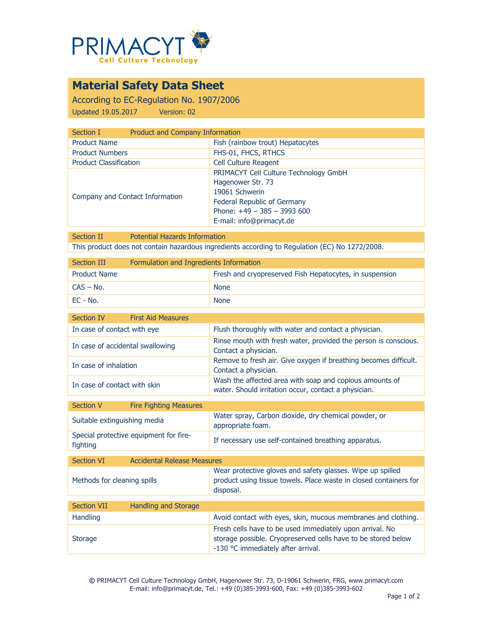

## **Material Safety Data Sheet**

According to EC-Regulation No. 1907/2006 Updated 19.05.2017 Version: 02

| Product and Company Information<br>Section I |                                                                                                                                                                         |
|----------------------------------------------|-------------------------------------------------------------------------------------------------------------------------------------------------------------------------|
| <b>Product Name</b>                          | Fish (rainbow trout) Hepatocytes                                                                                                                                        |
| <b>Product Numbers</b>                       | FHS-01, FHCS, RTHCS                                                                                                                                                     |
| <b>Product Classification</b>                | <b>Cell Culture Reagent</b>                                                                                                                                             |
| Company and Contact Information              | PRIMACYT Cell Culture Technology GmbH<br>Hagenower Str. 73<br>19061 Schwerin<br>Federal Republic of Germany<br>Phone: $+49 - 385 - 3993600$<br>E-mail: info@primacyt.de |

Section II Potential Hazards Information This product does not contain hazardous ingredients according to Regulation (EC) No 1272/2008.

| Section III         | Formulation and Ingredients Information |                                                         |
|---------------------|-----------------------------------------|---------------------------------------------------------|
| <b>Product Name</b> |                                         | Fresh and cryopreserved Fish Hepatocytes, in suspension |
| $CAS - No.$         |                                         | <b>None</b>                                             |
| $EC - No.$          |                                         | <b>None</b>                                             |

| Section IV                   | <b>First Aid Measures</b>        |                                                                                                                 |
|------------------------------|----------------------------------|-----------------------------------------------------------------------------------------------------------------|
| In case of contact with eye  |                                  | Flush thoroughly with water and contact a physician.                                                            |
|                              | In case of accidental swallowing | Rinse mouth with fresh water, provided the person is conscious.<br>Contact a physician.                         |
| In case of inhalation        |                                  | Remove to fresh air. Give oxygen if breathing becomes difficult.<br>Contact a physician.                        |
| In case of contact with skin |                                  | Wash the affected area with soap and copious amounts of<br>water. Should irritation occur, contact a physician. |
|                              |                                  |                                                                                                                 |
| <b>Section V</b>             | <b>Fire Fighting Measures</b>    |                                                                                                                 |

| <b>JELLIUII V</b>            | <b>THE FIGHT PRIMITS</b>               |                                                                           |
|------------------------------|----------------------------------------|---------------------------------------------------------------------------|
| Suitable extinguishing media |                                        | Water spray, Carbon dioxide, dry chemical powder, or<br>appropriate foam. |
| fighting                     | Special protective equipment for fire- | If necessary use self-contained breathing apparatus.                      |

| Section VI                  | <b>Accidental Release Measures</b> |                                                                                                                                                                 |
|-----------------------------|------------------------------------|-----------------------------------------------------------------------------------------------------------------------------------------------------------------|
| Methods for cleaning spills |                                    | Wear protective gloves and safety glasses. Wipe up spilled<br>product using tissue towels. Place waste in closed containers for<br>disposal.                    |
|                             |                                    |                                                                                                                                                                 |
| <b>Section VII</b>          | <b>Handling and Storage</b>        |                                                                                                                                                                 |
| <b>Handling</b>             |                                    | Avoid contact with eyes, skin, mucous membranes and clothing.                                                                                                   |
| <b>Storage</b>              |                                    | Fresh cells have to be used immediately upon arrival. No<br>storage possible. Cryopreserved cells have to be stored below<br>-130 °C immediately after arrival. |

**©** PRIMACYT Cell Culture Technology GmbH, Hagenower Str. 73, D-19061 Schwerin, FRG, www.primacyt.com E-mail: info@primacyt.de, Tel.: +49 (0)385-3993-600, Fax: +49 (0)385-3993-602